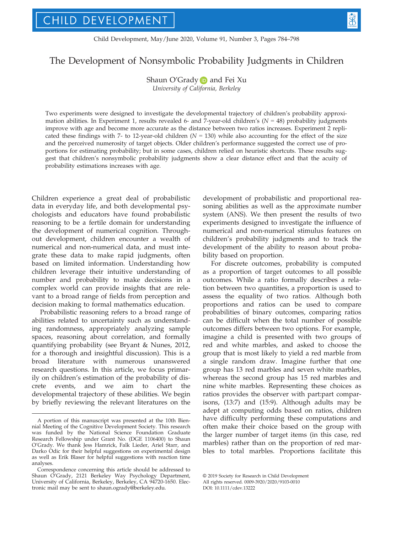

# The Development of Nonsymbolic Probability Judgments in Children

Shaun O'Grad[y](http://orcid.org/0000-0002-0730-1354) **D** and Fei Xu

University of California, Berkeley

Two experiments were designed to investigate the developmental trajectory of children's probability approximation abilities. In Experiment 1, results revealed 6- and 7-year-old children's  $(N = 48)$  probability judgments improve with age and become more accurate as the distance between two ratios increases. Experiment 2 replicated these findings with 7- to 12-year-old children  $(N = 130)$  while also accounting for the effect of the size and the perceived numerosity of target objects. Older children's performance suggested the correct use of proportions for estimating probability; but in some cases, children relied on heuristic shortcuts. These results suggest that children's nonsymbolic probability judgments show a clear distance effect and that the acuity of probability estimations increases with age.

Children experience a great deal of probabilistic data in everyday life, and both developmental psychologists and educators have found probabilistic reasoning to be a fertile domain for understanding the development of numerical cognition. Throughout development, children encounter a wealth of numerical and non-numerical data, and must integrate these data to make rapid judgments, often based on limited information. Understanding how children leverage their intuitive understanding of number and probability to make decisions in a complex world can provide insights that are relevant to a broad range of fields from perception and decision making to formal mathematics education.

Probabilistic reasoning refers to a broad range of abilities related to uncertainty such as understanding randomness, appropriately analyzing sample spaces, reasoning about correlation, and formally quantifying probability (see Bryant & Nunes, 2012, for a thorough and insightful discussion). This is a broad literature with numerous unanswered research questions. In this article, we focus primarily on children's estimation of the probability of discrete events, and we aim to chart the developmental trajectory of these abilities. We begin by briefly reviewing the relevant literatures on the

development of probabilistic and proportional reasoning abilities as well as the approximate number system (ANS). We then present the results of two experiments designed to investigate the influence of numerical and non-numerical stimulus features on children's probability judgments and to track the development of the ability to reason about probability based on proportion.

For discrete outcomes, probability is computed as a proportion of target outcomes to all possible outcomes. While a ratio formally describes a relation between two quantities, a proportion is used to assess the equality of two ratios. Although both proportions and ratios can be used to compare probabilities of binary outcomes, comparing ratios can be difficult when the total number of possible outcomes differs between two options. For example, imagine a child is presented with two groups of red and white marbles, and asked to choose the group that is most likely to yield a red marble from a single random draw. Imagine further that one group has 13 red marbles and seven white marbles, whereas the second group has 15 red marbles and nine white marbles. Representing these choices as ratios provides the observer with part:part comparisons, (13:7) and (15:9). Although adults may be adept at computing odds based on ratios, children have difficulty performing these computations and often make their choice based on the group with the larger number of target items (in this case, red marbles) rather than on the proportion of red marbles to total marbles. Proportions facilitate this

A portion of this manuscript was presented at the 10th Biennial Meeting of the Cognitive Development Society. This research was funded by the National Science Foundation Graduate Research Fellowship under Grant No. (DGE 1106400) to Shaun O'Grady. We thank Jess Hamrick, Falk Lieder, Ariel Starr, and Darko Odic for their helpful suggestions on experimental design as well as Erik Blaser for helpful suggestions with reaction time analyses.

Correspondence concerning this article should be addressed to Shaun O'Grady, 2121 Berkeley Way Psychology Department, University of California, Berkeley, Berkeley, CA 94720-1650. Electronic mail may be sent to [shaun.ogrady@berkeley.edu.](mailto:)

<sup>©</sup> 2019 Society for Research in Child Development All rights reserved. 0009-3920/2020/9103-0010 DOI: 10.1111/cdev.13222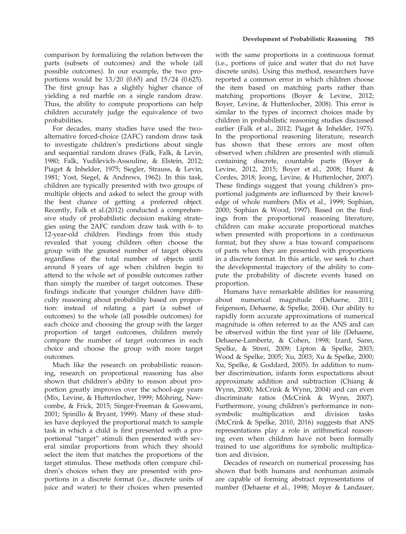comparison by formalizing the relation between the parts (subsets of outcomes) and the whole (all possible outcomes). In our example, the two proportions would be 13/20 (0.65) and 15/24 (0.625). The first group has a slightly higher chance of yielding a red marble on a single random draw. Thus, the ability to compute proportions can help children accurately judge the equivalence of two probabilities.

For decades, many studies have used the twoalternative forced-choice (2AFC) random draw task to investigate children's predictions about single and sequential random draws (Falk, Falk, & Levin, 1980; Falk, Yudilevich-Assouline, & Elstein, 2012; Piaget & Inhelder, 1975; Siegler, Strauss, & Levin, 1981; Yost, Siegel, & Andrews, 1962). In this task, children are typically presented with two groups of multiple objects and asked to select the group with the best chance of getting a preferred object. Recently, Falk et al.(2012) conducted a comprehensive study of probabilistic decision making strategies using the 2AFC random draw task with 6- to 12-year-old children. Findings from this study revealed that young children often choose the group with the greatest number of target objects regardless of the total number of objects until around 8 years of age when children begin to attend to the whole set of possible outcomes rather than simply the number of target outcomes. These findings indicate that younger children have difficulty reasoning about probability based on proportion: instead of relating a part (a subset of outcomes) to the whole (all possible outcomes) for each choice and choosing the group with the larger proportion of target outcomes, children merely compare the number of target outcomes in each choice and choose the group with more target outcomes.

Much like the research on probabilistic reasoning, research on proportional reasoning has also shown that children's ability to reason about proportion greatly improves over the school-age years (Mix, Levine, & Huttenlocher, 1999; Möhring, Newcombe, & Frick, 2015; Singer-Freeman & Goswami, 2001; Spinillo & Bryant, 1999). Many of these studies have deployed the proportional match to sample task in which a child is first presented with a proportional "target" stimuli then presented with several similar proportions from which they should select the item that matches the proportions of the target stimulus. These methods often compare children's choices when they are presented with proportions in a discrete format (i.e., discrete units of juice and water) to their choices when presented

with the same proportions in a continuous format (i.e., portions of juice and water that do not have discrete units). Using this method, researchers have reported a common error in which children choose the item based on matching parts rather than matching proportions (Boyer & Levine, 2012; Boyer, Levine, & Huttenlocher, 2008). This error is similar to the types of incorrect choices made by children in probabilistic reasoning studies discussed earlier (Falk et al., 2012; Piaget & Inhelder, 1975). In the proportional reasoning literature, research has shown that these errors are most often observed when children are presented with stimuli containing discrete, countable parts (Boyer & Levine, 2012, 2015; Boyer et al., 2008; Hurst & Cordes, 2018; Jeong, Levine, & Huttenlocher, 2007). These findings suggest that young children's proportional judgments are influenced by their knowledge of whole numbers (Mix et al., 1999; Sophian, 2000; Sophian & Wood, 1997). Based on the findings from the proportional reasoning literature, children can make accurate proportional matches when presented with proportions in a continuous format, but they show a bias toward comparisons of parts when they are presented with proportions in a discrete format. In this article, we seek to chart the developmental trajectory of the ability to compute the probability of discrete events based on proportion.

Humans have remarkable abilities for reasoning about numerical magnitude (Dehaene, 2011; Feigenson, Dehaene, & Spelke, 2004). Our ability to rapidly form accurate approximations of numerical magnitude is often referred to as the ANS and can be observed within the first year of life (Dehaene, Dehaene-Lambertz, & Cohen, 1998; Izard, Sann, Spelke, & Streri, 2009; Lipton & Spelke, 2003; Wood & Spelke, 2005; Xu, 2003; Xu & Spelke, 2000; Xu, Spelke, & Goddard, 2005). In addition to number discrimination, infants form expectations about approximate addition and subtraction (Chiang & Wynn, 2000; McCrink & Wynn, 2004) and can even discriminate ratios (McCrink & Wynn, 2007). Furthermore, young children's performance in nonsymbolic multiplication and division tasks (McCrink & Spelke, 2010, 2016) suggests that ANS representations play a role in arithmetical reasoning even when children have not been formally trained to use algorithms for symbolic multiplication and division.

Decades of research on numerical processing has shown that both humans and nonhuman animals are capable of forming abstract representations of number (Dehaene et al., 1998; Moyer & Landauer,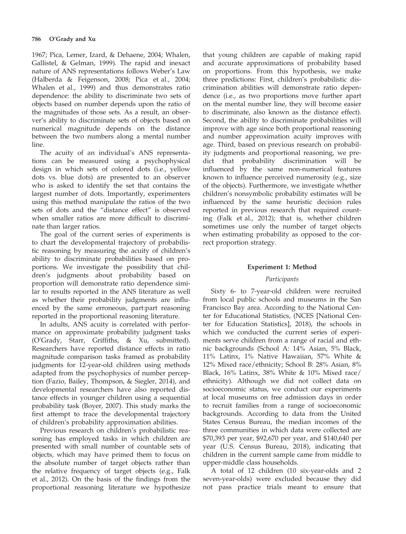1967; Pica, Lemer, Izard, & Dehaene, 2004; Whalen, Gallistel, & Gelman, 1999). The rapid and inexact nature of ANS representations follows Weber's Law (Halberda & Feigenson, 2008; Pica et al., 2004; Whalen et al., 1999) and thus demonstrates ratio dependence: the ability to discriminate two sets of objects based on number depends upon the ratio of the magnitudes of those sets. As a result, an observer's ability to discriminate sets of objects based on numerical magnitude depends on the distance between the two numbers along a mental number line.

The acuity of an individual's ANS representations can be measured using a psychophysical design in which sets of colored dots (i.e., yellow dots vs. blue dots) are presented to an observer who is asked to identify the set that contains the largest number of dots. Importantly, experimenters using this method manipulate the ratios of the two sets of dots and the "distance effect" is observed when smaller ratios are more difficult to discriminate than larger ratios.

The goal of the current series of experiments is to chart the developmental trajectory of probabilistic reasoning by measuring the acuity of children's ability to discriminate probabilities based on proportions. We investigate the possibility that children's judgments about probability based on proportion will demonstrate ratio dependence similar to results reported in the ANS literature as well as whether their probability judgments are influenced by the same erroneous, part:part reasoning reported in the proportional reasoning literature.

In adults, ANS acuity is correlated with performance on approximate probability judgment tasks (O'Grady, Starr, Griffiths, & Xu, submitted). Researchers have reported distance effects in ratio magnitude comparison tasks framed as probability judgments for 12-year-old children using methods adapted from the psychophysics of number perception (Fazio, Bailey, Thompson, & Siegler, 2014), and developmental researchers have also reported distance effects in younger children using a sequential probability task (Boyer, 2007). This study marks the first attempt to trace the developmental trajectory of children's probability approximation abilities.

Previous research on children's probabilistic reasoning has employed tasks in which children are presented with small number of countable sets of objects, which may have primed them to focus on the absolute number of target objects rather than the relative frequency of target objects (e.g., Falk et al., 2012). On the basis of the findings from the proportional reasoning literature we hypothesize

that young children are capable of making rapid and accurate approximations of probability based on proportions. From this hypothesis, we make three predictions: First, children's probabilistic discrimination abilities will demonstrate ratio dependence (i.e., as two proportions move further apart on the mental number line, they will become easier to discriminate, also known as the distance effect). Second, the ability to discriminate probabilities will improve with age since both proportional reasoning and number approximation acuity improves with age. Third, based on previous research on probability judgments and proportional reasoning, we predict that probability discrimination will be influenced by the same non-numerical features known to influence perceived numerosity (e.g., size of the objects). Furthermore, we investigate whether children's nonsymbolic probability estimates will be influenced by the same heuristic decision rules reported in previous research that required counting (Falk et al., 2012); that is, whether children sometimes use only the number of target objects when estimating probability as opposed to the correct proportion strategy.

# Experiment 1: Method

# Participants

Sixty 6- to 7-year-old children were recruited from local public schools and museums in the San Francisco Bay area. According to the National Center for Educational Statistics, (NCES [National Center for Education Statistics], 2018), the schools in which we conducted the current series of experiments serve children from a range of racial and ethnic backgrounds (School A: 14% Asian, 5% Black, 11% Latinx, 1% Native Hawaiian, 57% White & 12% Mixed race/ethnicity; School B: 28% Asian, 8% Black, 16% Latinx, 38% White & 10% Mixed race/ ethnicity). Although we did not collect data on socioeconomic status, we conduct our experiments at local museums on free admission days in order to recruit families from a range of socioeconomic backgrounds. According to data from the United States Census Bureau, the median incomes of the three communities in which data were collected are \$70,393 per year, \$92,670 per year, and \$140,640 per year (U.S. Census Bureau, 2018), indicating that children in the current sample came from middle to upper-middle class households.

A total of 12 children (10 six-year-olds and 2 seven-year-olds) were excluded because they did not pass practice trials meant to ensure that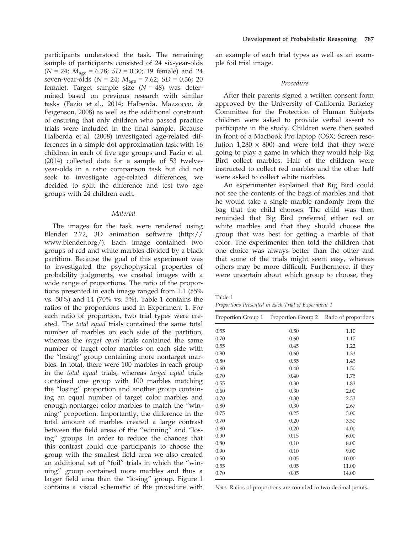participants understood the task. The remaining sample of participants consisted of 24 six-year-olds  $(N = 24; M<sub>age</sub> = 6.28; SD = 0.30; 19 female)$  and 24 seven-year-olds ( $N = 24$ ;  $M_{\text{age}} = 7.62$ ;  $SD = 0.36$ ; 20 female). Target sample size  $(N = 48)$  was determined based on previous research with similar tasks (Fazio et al., 2014; Halberda, Mazzocco, & Feigenson, 2008) as well as the additional constraint of ensuring that only children who passed practice trials were included in the final sample. Because Halberda et al. (2008) investigated age-related differences in a simple dot approximation task with 16 children in each of five age groups and Fazio et al. (2014) collected data for a sample of 53 twelveyear-olds in a ratio comparison task but did not seek to investigate age-related differences, we decided to split the difference and test two age groups with 24 children each.

#### **Material**

The images for the task were rendered using Blender 2.72, 3D animation software ([http://](http://www.blender.org/) [www.blender.org/](http://www.blender.org/)). Each image contained two groups of red and white marbles divided by a black partition. Because the goal of this experiment was to investigated the psychophysical properties of probability judgments, we created images with a wide range of proportions. The ratio of the proportions presented in each image ranged from 1.1 (55% vs. 50%) and 14 (70% vs. 5%). Table 1 contains the ratios of the proportions used in Experiment 1. For each ratio of proportion, two trial types were created. The total equal trials contained the same total number of marbles on each side of the partition, whereas the *target equal* trials contained the same number of target color marbles on each side with the "losing" group containing more nontarget marbles. In total, there were 100 marbles in each group in the total equal trials, whereas target equal trials contained one group with 100 marbles matching the "losing" proportion and another group containing an equal number of target color marbles and enough nontarget color marbles to match the "winning" proportion. Importantly, the difference in the total amount of marbles created a large contrast between the field areas of the "winning" and "losing" groups. In order to reduce the chances that this contrast could cue participants to choose the group with the smallest field area we also created an additional set of "foil" trials in which the "winning" group contained more marbles and thus a larger field area than the "losing" group. Figure 1 contains a visual schematic of the procedure with

an example of each trial types as well as an example foil trial image.

### Procedure

After their parents signed a written consent form approved by the University of California Berkeley Committee for the Protection of Human Subjects children were asked to provide verbal assent to participate in the study. Children were then seated in front of a MacBook Pro laptop (OSX; Screen resolution  $1,280 \times 800$ ) and were told that they were going to play a game in which they would help Big Bird collect marbles. Half of the children were instructed to collect red marbles and the other half were asked to collect white marbles.

An experimenter explained that Big Bird could not see the contents of the bags of marbles and that he would take a single marble randomly from the bag that the child chooses. The child was then reminded that Big Bird preferred either red or white marbles and that they should choose the group that was best for getting a marble of that color. The experimenter then told the children that one choice was always better than the other and that some of the trials might seem easy, whereas others may be more difficult. Furthermore, if they were uncertain about which group to choose, they

Table 1 Proportions Presented in Each Trial of Experiment 1

| 0.50<br>1.10<br>0.55<br>0.70<br>0.60<br>1.17<br>0.45<br>0.55<br>1.22<br>0.80<br>0.60<br>1.33<br>0.55<br>1.45<br>0.80<br>0.60<br>0.40<br>1.50<br>0.40<br>0.70<br>1.75<br>0.55<br>0.30<br>1.83<br>0.60<br>0.30<br>2.00<br>0.70<br>0.30<br>2.33<br>0.80<br>0.30<br>2.67<br>0.25<br>3.00<br>0.75<br>0.20<br>0.70<br>3.50<br>0.80<br>0.20<br>4.00<br>6.00<br>0.90<br>0.15<br>0.80<br>0.10<br>8.00 | Proportion Group 1 | Proportion Group 2 | Ratio of proportions |
|----------------------------------------------------------------------------------------------------------------------------------------------------------------------------------------------------------------------------------------------------------------------------------------------------------------------------------------------------------------------------------------------|--------------------|--------------------|----------------------|
|                                                                                                                                                                                                                                                                                                                                                                                              |                    |                    |                      |
|                                                                                                                                                                                                                                                                                                                                                                                              |                    |                    |                      |
|                                                                                                                                                                                                                                                                                                                                                                                              |                    |                    |                      |
|                                                                                                                                                                                                                                                                                                                                                                                              |                    |                    |                      |
|                                                                                                                                                                                                                                                                                                                                                                                              |                    |                    |                      |
|                                                                                                                                                                                                                                                                                                                                                                                              |                    |                    |                      |
|                                                                                                                                                                                                                                                                                                                                                                                              |                    |                    |                      |
|                                                                                                                                                                                                                                                                                                                                                                                              |                    |                    |                      |
|                                                                                                                                                                                                                                                                                                                                                                                              |                    |                    |                      |
|                                                                                                                                                                                                                                                                                                                                                                                              |                    |                    |                      |
|                                                                                                                                                                                                                                                                                                                                                                                              |                    |                    |                      |
|                                                                                                                                                                                                                                                                                                                                                                                              |                    |                    |                      |
|                                                                                                                                                                                                                                                                                                                                                                                              |                    |                    |                      |
|                                                                                                                                                                                                                                                                                                                                                                                              |                    |                    |                      |
|                                                                                                                                                                                                                                                                                                                                                                                              |                    |                    |                      |
|                                                                                                                                                                                                                                                                                                                                                                                              |                    |                    |                      |
|                                                                                                                                                                                                                                                                                                                                                                                              | 0.90               | 0.10               | 9.00                 |
| 10.00<br>0.50<br>0.05                                                                                                                                                                                                                                                                                                                                                                        |                    |                    |                      |
| 0.05<br>0.55<br>11.00                                                                                                                                                                                                                                                                                                                                                                        |                    |                    |                      |
| 0.70<br>0.05<br>14.00                                                                                                                                                                                                                                                                                                                                                                        |                    |                    |                      |

Note. Ratios of proportions are rounded to two decimal points.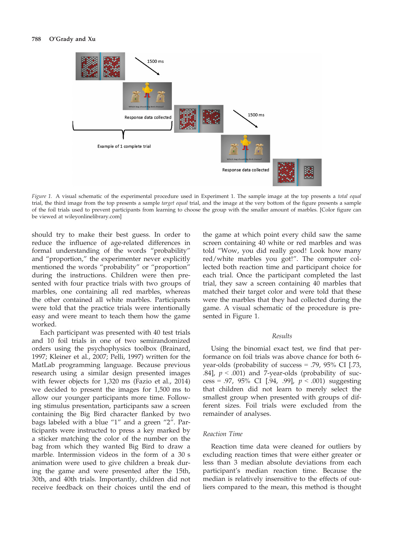

Figure 1. A visual schematic of the experimental procedure used in Experiment 1. The sample image at the top presents a total equal trial, the third image from the top presents a sample target equal trial, and the image at the very bottom of the figure presents a sample of the foil trials used to prevent participants from learning to choose the group with the smaller amount of marbles. [Color figure can be viewed at [wileyonlinelibrary.com\]](www.wileyonlinelibrary.com)

should try to make their best guess. In order to reduce the influence of age-related differences in formal understanding of the words "probability" and "proportion," the experimenter never explicitly mentioned the words "probability" or "proportion" during the instructions. Children were then presented with four practice trials with two groups of marbles, one containing all red marbles, whereas the other contained all white marbles. Participants were told that the practice trials were intentionally easy and were meant to teach them how the game worked.

Each participant was presented with 40 test trials and 10 foil trials in one of two semirandomized orders using the psychophysics toolbox (Brainard, 1997; Kleiner et al., 2007; Pelli, 1997) written for the MatLab programming language. Because previous research using a similar design presented images with fewer objects for 1,320 ms (Fazio et al., 2014) we decided to present the images for 1,500 ms to allow our younger participants more time. Following stimulus presentation, participants saw a screen containing the Big Bird character flanked by two bags labeled with a blue "1" and a green "2". Participants were instructed to press a key marked by a sticker matching the color of the number on the bag from which they wanted Big Bird to draw a marble. Intermission videos in the form of a 30 s animation were used to give children a break during the game and were presented after the 15th, 30th, and 40th trials. Importantly, children did not receive feedback on their choices until the end of the game at which point every child saw the same screen containing 40 white or red marbles and was told "Wow, you did really good! Look how many red/white marbles you got!". The computer collected both reaction time and participant choice for each trial. Once the participant completed the last trial, they saw a screen containing 40 marbles that matched their target color and were told that these were the marbles that they had collected during the game. A visual schematic of the procedure is presented in Figure 1.

### Results

Using the binomial exact test, we find that performance on foil trials was above chance for both 6 year-olds (probability of success = .79, 95% CI [.73, .84],  $p < .001$ ) and 7-year-olds (probability of success = .97, 95% CI [.94, .99],  $p < .001$ ) suggesting that children did not learn to merely select the smallest group when presented with groups of different sizes. Foil trials were excluded from the remainder of analyses.

# Reaction Time

Reaction time data were cleaned for outliers by excluding reaction times that were either greater or less than 3 median absolute deviations from each participant's median reaction time. Because the median is relatively insensitive to the effects of outliers compared to the mean, this method is thought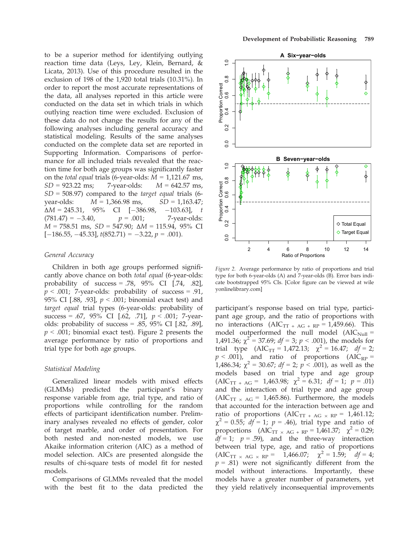to be a superior method for identifying outlying reaction time data (Leys, Ley, Klein, Bernard, & Licata, 2013). Use of this procedure resulted in the exclusion of 198 of the 1,920 total trials (10.31%). In order to report the most accurate representations of the data, all analyses reported in this article were conducted on the data set in which trials in which outlying reaction time were excluded. Exclusion of these data do not change the results for any of the following analyses including general accuracy and statistical modeling. Results of the same analyses conducted on the complete data set are reported in Supporting Information. Comparisons of performance for all included trials revealed that the reaction time for both age groups was significantly faster on the total equal trials (6-year-olds:  $M = 1,121.67$  ms,  $SD = 923.22$  ms; 7-year-olds:  $M = 642.57$  ms,  $SD = 508.97$ ) compared to the *target equal* trials (6-<br>year-olds:  $M = 1,366.98$  ms,  $SD = 1,163.47$ ; year-olds:  $M = 1,366.98$  ms,  $\Delta M = 245.31, 95\% \text{ CI} [-386.98, -103.63], t$ <br>(781.47) = -3.40,  $p = .001;$  7-year-olds:  $(781.47) = -3.40,$   $p = .001;$  7-year-olds:  $M = 758.51$  ms,  $SD = 547.90$ ;  $\Delta M = 115.94$ ,  $95\%$  CI  $[-186.55, -45.33]$ ,  $t(852.71) = -3.22$ ,  $p = .001$ ).

# General Accuracy

Children in both age groups performed significantly above chance on both total equal (6-year-olds: probability of success = .78,  $95\%$  CI [.74, .82],  $p < .001$ ; 7-year-olds: probability of success = .91, 95% CI [.88, .93],  $p < .001$ ; binomial exact test) and target equal trial types (6-year-olds: probability of success = .67,  $95\%$  CI [.62, .71],  $p < .001$ ; 7-yearolds: probability of success = .85, 95% CI [.82, .89],  $p < .001$ ; binomial exact test). Figure 2 presents the average performance by ratio of proportions and trial type for both age groups.

# Statistical Modeling

Generalized linear models with mixed effects (GLMMs) predicted the participant's binary response variable from age, trial type, and ratio of proportions while controlling for the random effects of participant identification number. Preliminary analyses revealed no effects of gender, color of target marble, and order of presentation. For both nested and non-nested models, we use Akaike information criterion (AIC) as a method of model selection. AICs are presented alongside the results of chi-square tests of model fit for nested models.

Comparisons of GLMMs revealed that the model with the best fit to the data predicted the



Figure 2. Average performance by ratio of proportions and trial type for both 6-year-olds (A) and 7-year-olds (B). Error bars indicate bootstrapped 95% CIs. [Color figure can be viewed at [wile](www.wileyonlinelibrary.com) [yonlinelibrary.com](www.wileyonlinelibrary.com)]

participant's response based on trial type, participant age group, and the ratio of proportions with no interactions  $(AIC_{TT + AG + RP} = 1,459.66)$ . This model outperformed the null model  $(AIC_{Null} =$ 1,491.36;  $\chi^2 = 37.69$ ;  $df = 3$ ;  $p < .001$ ), the models for trial type  $(AIC_{TT} = 1,472.13; \chi^2 = 16.47; df = 2;$  $p < .001$ ), and ratio of proportions (AIC<sub>RP</sub> = 1,486.34;  $\chi^2$  = 30.67;  $df = 2$ ;  $p < .001$ ), as well as the models based on trial type and age group (AIC<sub>TT + AG</sub> = 1,463.98;  $\chi^2 = 6.31$ ;  $df = 1$ ;  $p = .01$ ) and the interaction of trial type and age group  $(AIC_{TT \times AG} = 1,465.86)$ . Furthermore, the models that accounted for the interaction between age and ratio of proportions  $(AIC_{TT + AG \times RP} = 1,461.12;$  $\chi^2$  = 0.55; *df* = 1; *p* = .46), trial type and ratio of proportions  $(AIC_{TT \times AG + RP} = 1,461.37; \chi^2 = 0.29;$  $df = 1$ ;  $p = .59$ ), and the three-way interaction between trial type, age, and ratio of proportions  $(AIC_{TT \times AG \times RP}$  = 1,466.07;  $\chi^2$  = 1.59; df = 4;  $p = .81$ ) were not significantly different from the model without interactions. Importantly, these models have a greater number of parameters, yet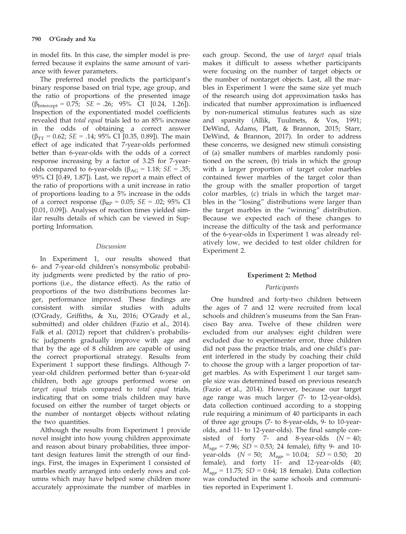in model fits. In this case, the simpler model is preferred because it explains the same amount of variance with fewer parameters.

The preferred model predicts the participant's binary response based on trial type, age group, and the ratio of proportions of the presented image  $(\beta_{\text{Intercept}} = 0.75; \ \ SE = .26; \ \ 95\% \ \ \text{CI} \ \ [0.24, \ \ 1.26]).$ Inspection of the exponentiated model coefficients revealed that total equal trials led to an 85% increase in the odds of obtaining a correct answer  $(\beta_{TT} = 0.62; SE = .14; 95\% CI [0.35, 0.89]).$  The main effect of age indicated that 7-year-olds performed better than 6-year-olds with the odds of a correct response increasing by a factor of 3.25 for 7-yearolds compared to 6-year-olds ( $\beta_{AG}$  = 1.18; *SE* = .35; 95% CI [0.49, 1.87]). Last, we report a main effect of the ratio of proportions with a unit increase in ratio of proportions leading to a 5% increase in the odds of a correct response ( $\beta_{RP}$  = 0.05; *SE* = .02; 95% CI [0.01, 0.09]). Analyses of reaction times yielded similar results details of which can be viewed in Supporting Information.

# Discussion

In Experiment 1, our results showed that 6- and 7-year-old children's nonsymbolic probability judgments were predicted by the ratio of proportions (i.e., the distance effect). As the ratio of proportions of the two distributions becomes larger, performance improved. These findings are consistent with similar studies with adults (O'Grady, Griffiths, & Xu, 2016; O'Grady et al., submitted) and older children (Fazio et al., 2014). Falk et al. (2012) report that children's probabilistic judgments gradually improve with age and that by the age of 8 children are capable of using the correct proportional strategy. Results from Experiment 1 support these findings. Although 7 year-old children performed better than 6-year-old children, both age groups performed worse on target equal trials compared to total equal trials, indicating that on some trials children may have focused on either the number of target objects or the number of nontarget objects without relating the two quantities.

Although the results from Experiment 1 provide novel insight into how young children approximate and reason about binary probabilities, three important design features limit the strength of our findings. First, the images in Experiment 1 consisted of marbles neatly arranged into orderly rows and columns which may have helped some children more accurately approximate the number of marbles in each group. Second, the use of target equal trials makes it difficult to assess whether participants were focusing on the number of target objects or the number of nontarget objects. Last, all the marbles in Experiment 1 were the same size yet much of the research using dot approximation tasks has indicated that number approximation is influenced by non-numerical stimulus features such as size and sparsity (Allik, Tuulmets, & Vos, 1991; DeWind, Adams, Platt, & Brannon, 2015; Starr, DeWind, & Brannon, 2017). In order to address these concerns, we designed new stimuli consisting of (a) smaller numbers of marbles randomly positioned on the screen, (b) trials in which the group with a larger proportion of target color marbles contained fewer marbles of the target color than the group with the smaller proportion of target color marbles, (c) trials in which the target marbles in the "losing" distributions were larger than the target marbles in the "winning" distribution. Because we expected each of these changes to increase the difficulty of the task and performance of the 6-year-olds in Experiment 1 was already relatively low, we decided to test older children for Experiment 2.

# Experiment 2: Method

# Participants

One hundred and forty-two children between the ages of 7 and 12 were recruited from local schools and children's museums from the San Francisco Bay area. Twelve of these children were excluded from our analyses: eight children were excluded due to experimenter error, three children did not pass the practice trials, and one child's parent interfered in the study by coaching their child to choose the group with a larger proportion of target marbles. As with Experiment 1 our target sample size was determined based on previous research (Fazio et al., 2014). However, because our target age range was much larger (7- to 12-year-olds), data collection continued according to a stopping rule requiring a minimum of 40 participants in each of three age groups (7- to 8-year-olds, 9- to 10-yearolds, and 11- to 12-year-olds). The final sample consisted of forty 7- and 8-year-olds  $(N = 40;$  $M_{\text{age}} = 7.96$ ;  $SD = 0.53$ ; 24 female), fifty 9- and 10year-olds  $(N = 50; M_{\text{age}} = 10.04; SD = 0.50; 20$ female), and forty 11- and 12-year-olds (40;  $M_{\text{age}} = 11.75$ ;  $SD = 0.64$ ; 18 female). Data collection was conducted in the same schools and communities reported in Experiment 1.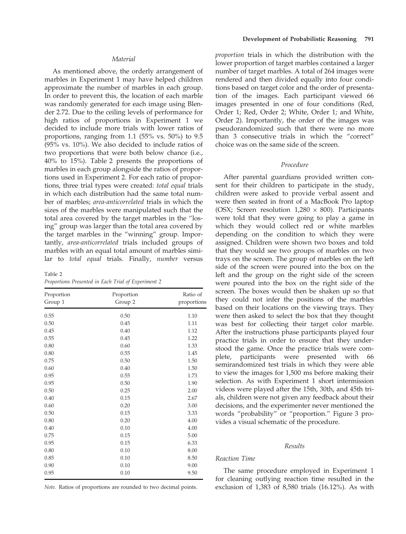#### Material

As mentioned above, the orderly arrangement of marbles in Experiment 1 may have helped children approximate the number of marbles in each group. In order to prevent this, the location of each marble was randomly generated for each image using Blender 2.72. Due to the ceiling levels of performance for high ratios of proportions in Experiment 1 we decided to include more trials with lower ratios of proportions, ranging from 1.1 (55% vs. 50%) to 9.5 (95% vs. 10%). We also decided to include ratios of two proportions that were both below chance (i.e., 40% to 15%). Table 2 presents the proportions of marbles in each group alongside the ratios of proportions used in Experiment 2. For each ratio of proportions, three trial types were created: total equal trials in which each distribution had the same total number of marbles; area-anticorrelated trials in which the sizes of the marbles were manipulated such that the total area covered by the target marbles in the "losing" group was larger than the total area covered by the target marbles in the "winning" group. Importantly, area-anticorrelated trials included groups of marbles with an equal total amount of marbles similar to total equal trials. Finally, number versus

Table 2 Proportions Presented in Each Trial of Experiment 2

| Proportion<br>Group 1 | Proportion<br>Group 2 | Ratio of<br>proportions |
|-----------------------|-----------------------|-------------------------|
| 0.55                  | 0.50                  | 1.10                    |
| 0.50                  | 0.45                  | 1.11                    |
| 0.45                  | 0.40                  | 1.12                    |
| 0.55                  | 0.45                  | 1.22                    |
| 0.80                  | 0.60                  | 1.33                    |
| 0.80                  | 0.55                  | 1.45                    |
| 0.75                  | 0.50                  | 1.50                    |
| 0.60                  | 0.40                  | 1.50                    |
| 0.95                  | 0.55                  | 1.73                    |
| 0.95                  | 0.50                  | 1.90                    |
| 0.50                  | 0.25                  | 2.00                    |
| 0.40                  | 0.15                  | 2.67                    |
| 0.60                  | 0.20                  | 3.00                    |
| 0.50                  | 0.15                  | 3.33                    |
| 0.80                  | 0.20                  | 4.00                    |
| 0.40                  | 0.10                  | 4.00                    |
| 0.75                  | 0.15                  | 5.00                    |
| 0.95                  | 0.15                  | 6.33                    |
| 0.80                  | 0.10                  | 8.00                    |
| 0.85                  | 0.10                  | 8.50                    |
| 0.90                  | 0.10                  | 9.00                    |
| 0.95                  | 0.10                  | 9.50                    |

Note. Ratios of proportions are rounded to two decimal points.

#### Development of Probabilistic Reasoning 791

proportion trials in which the distribution with the lower proportion of target marbles contained a larger number of target marbles. A total of 264 images were rendered and then divided equally into four conditions based on target color and the order of presentation of the images. Each participant viewed 66 images presented in one of four conditions (Red, Order 1; Red, Order 2; White, Order 1; and White, Order 2). Importantly, the order of the images was pseudorandomized such that there were no more than 3 consecutive trials in which the "correct" choice was on the same side of the screen.

### Procedure

After parental guardians provided written consent for their children to participate in the study, children were asked to provide verbal assent and were then seated in front of a MacBook Pro laptop (OSX; Screen resolution  $1,280 \times 800$ ). Participants were told that they were going to play a game in which they would collect red or white marbles depending on the condition to which they were assigned. Children were shown two boxes and told that they would see two groups of marbles on two trays on the screen. The group of marbles on the left side of the screen were poured into the box on the left and the group on the right side of the screen were poured into the box on the right side of the screen. The boxes would then be shaken up so that they could not infer the positions of the marbles based on their locations on the viewing trays. They were then asked to select the box that they thought was best for collecting their target color marble. After the instructions phase participants played four practice trials in order to ensure that they understood the game. Once the practice trials were complete, participants were presented with 66 semirandomized test trials in which they were able to view the images for 1,500 ms before making their selection. As with Experiment 1 short intermission videos were played after the 15th, 30th, and 45th trials, children were not given any feedback about their decisions, and the experimenter never mentioned the words "probability" or "proportion." Figure 3 provides a visual schematic of the procedure.

# Results

# Reaction Time

The same procedure employed in Experiment 1 for cleaning outlying reaction time resulted in the exclusion of 1,383 of 8,580 trials (16.12%). As with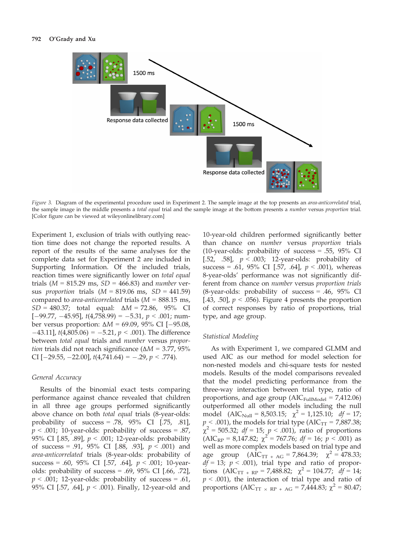

Figure 3. Diagram of the experimental procedure used in Experiment 2. The sample image at the top presents an *area-anticorrelated* trial, the sample image in the middle presents a total equal trial and the sample image at the bottom presents a number versus proportion trial. [Color figure can be viewed at [wileyonlinelibrary.com\]](www.wileyonlinelibrary.com)

Experiment 1, exclusion of trials with outlying reaction time does not change the reported results. A report of the results of the same analyses for the complete data set for Experiment 2 are included in Supporting Information. Of the included trials, reaction times were significantly lower on total equal trials ( $M = 815.29$  ms,  $SD = 466.83$ ) and *number* versus proportion trials  $(M = 819.06 \text{ ms}, SD = 441.59)$ compared to *area-anticorrelated* trials  $(M = 888.15 \text{ ms}$ ,  $SD = 480.37$ ; total equal:  $\Delta M = 72.86$ , 95% CI  $[-99.77, -45.95]$ ,  $t(4,758.99) = -5.31$ ,  $p < .001$ ; number versus proportion:  $ΔM = 69.09$ , 95% CI [-95.08,  $-43.11$ ],  $t(4,805.06) = -5.21$ ,  $p < .001$ ). The difference between total equal trials and number versus proportion trials did not reach significance ( $\Delta M = 3.77$ , 95% CI  $[-29.55, -22.00]$ ,  $t(4,741.64) = -.29$ ,  $p < .774$ ).

# General Accuracy

Results of the binomial exact tests comparing performance against chance revealed that children in all three age groups performed significantly above chance on both total equal trials (8-year-olds: probability of success = .78,  $95\%$  CI [.75, .81],  $p < .001$ ; 10-year-olds: probability of success = .87, 95% CI [.85, .89],  $p < .001$ ; 12-year-olds: probability of success = .91, 95% CI [.88, .93],  $p < .001$  and area-anticorrelated trials (8-year-olds: probability of success = .60, 95% CI [.57, .64],  $p < .001$ ; 10-yearolds: probability of success = .69,  $95\%$  CI [.66, .72],  $p < .001$ ; 12-year-olds: probability of success = .61, 95% CI [.57, .64],  $p < .001$ ). Finally, 12-year-old and 10-year-old children performed significantly better than chance on number versus proportion trials (10-year-olds: probability of success  $= .55, 95\%$  CI [.52, .58],  $p < .003$ ; 12-year-olds: probability of success = .61, 95% CI [.57, .64],  $p < .001$ ), whereas 8-year-olds' performance was not significantly different from chance on number versus proportion trials  $(8$ -year-olds: probability of success = .46, 95% CI [.43, .50],  $p < .056$ ). Figure 4 presents the proportion of correct responses by ratio of proportions, trial type, and age group.

# Statistical Modeling

As with Experiment 1, we compared GLMM and used AIC as our method for model selection for non-nested models and chi-square tests for nested models. Results of the model comparisons revealed that the model predicting performance from the three-way interaction between trial type, ratio of proportions, and age group  $(AIC_{FullModel} = 7,412.06)$ outperformed all other models including the null model (AIC<sub>Null</sub> = 8,503.15;  $\chi^2 = 1,125.10; df = 17;$  $p < .001$ ), the models for trial type (AIC<sub>TT</sub> = 7,887.38;  $\chi^2$  = 505.32; *df* = 15; *p* < .001), ratio of proportions  $(AIC_{RP} = 8,147.82; \chi^2 = 767.76; df = 16; p < .001$  as well as more complex models based on trial type and age group  $(AIC_{TT + AG} = 7,864.39; \chi^2 = 478.33;$  $df = 13$ ;  $p < .001$ ), trial type and ratio of proportions  $(AIC_{TT + RP} = 7,488.82; \chi^2 = 104.77; df = 14;$  $p < .001$ ), the interaction of trial type and ratio of proportions (AIC<sub>TT × RP + AG</sub> = 7,444.83;  $\chi^2$  = 80.47;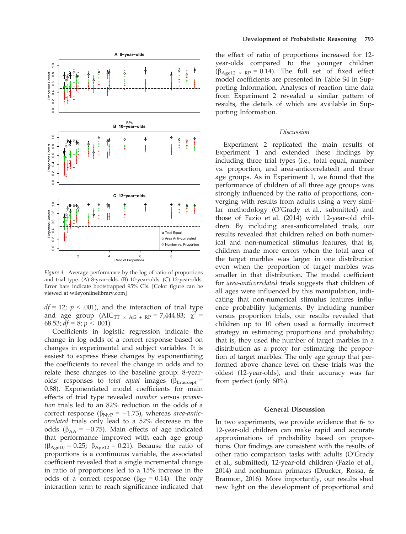

Figure 4. Average performance by the log of ratio of proportions and trial type. (A) 8-year-olds. (B) 10-year-olds. (C) 12-year-olds. Error bars indicate bootstrapped 95% CIs. [Color figure can be viewed at [wileyonlinelibrary.com\]](www.wileyonlinelibrary.com)

 $df = 12$ ;  $p < .001$ ), and the interaction of trial type and age group  $(AIC_{TT \times AG + RP} = 7,444.83; \chi^2 =$ 68.53;  $df = 8$ ;  $p < .001$ ).

Coefficients in logistic regression indicate the change in log odds of a correct response based on changes in experimental and subject variables. It is easiest to express these changes by exponentiating the coefficients to reveal the change in odds and to relate these changes to the baseline group: 8-yearolds' responses to *total equal* images ( $\beta_{\text{Intercept}}$  = 0.88). Exponentiated model coefficients for main effects of trial type revealed number versus proportion trials led to an 82% reduction in the odds of a correct response ( $\beta_{NvP} = -1.73$ ), whereas area-anticorrelated trials only lead to a 52% decrease in the odds ( $\beta_{AA} = -0.75$ ). Main effects of age indicated that performance improved with each age group  $(\beta_{\text{Age10}} = 0.25; \beta_{\text{Age12}} = 0.21)$ . Because the ratio of proportions is a continuous variable, the associated coefficient revealed that a single incremental change in ratio of proportions led to a 15% increase in the odds of a correct response ( $\beta_{RP} = 0.14$ ). The only interaction term to reach significance indicated that

the effect of ratio of proportions increased for 12 year-olds compared to the younger children  $(\beta_{\text{Age12}} \times \text{RP} = 0.14)$ . The full set of fixed effect model coefficients are presented in Table S4 in Supporting Information. Analyses of reaction time data from Experiment 2 revealed a similar pattern of results, the details of which are available in Supporting Information.

### Discussion

Experiment 2 replicated the main results of Experiment 1 and extended these findings by including three trial types (i.e., total equal, number vs. proportion, and area-anticorrelated) and three age groups. As in Experiment 1, we found that the performance of children of all three age groups was strongly influenced by the ratio of proportions, converging with results from adults using a very similar methodology (O'Grady et al., submitted) and those of Fazio et al. (2014) with 12-year-old children. By including area-anticorrelated trials, our results revealed that children relied on both numerical and non-numerical stimulus features; that is, children made more errors when the total area of the target marbles was larger in one distribution even when the proportion of target marbles was smaller in that distribution. The model coefficient for area-anticorrelated trials suggests that children of all ages were influenced by this manipulation, indicating that non-numerical stimulus features influence probability judgments. By including number versus proportion trials, our results revealed that children up to 10 often used a formally incorrect strategy in estimating proportions and probability; that is, they used the number of target marbles in a distribution as a proxy for estimating the proportion of target marbles. The only age group that performed above chance level on these trials was the oldest (12-year-olds), and their accuracy was far from perfect (only 60%).

# General Discussion

In two experiments, we provide evidence that 6- to 12-year-old children can make rapid and accurate approximations of probability based on proportions. Our findings are consistent with the results of other ratio comparison tasks with adults (O'Grady et al., submitted), 12-year-old children (Fazio et al., 2014) and nonhuman primates (Drucker, Rossa, & Brannon, 2016). More importantly, our results shed new light on the development of proportional and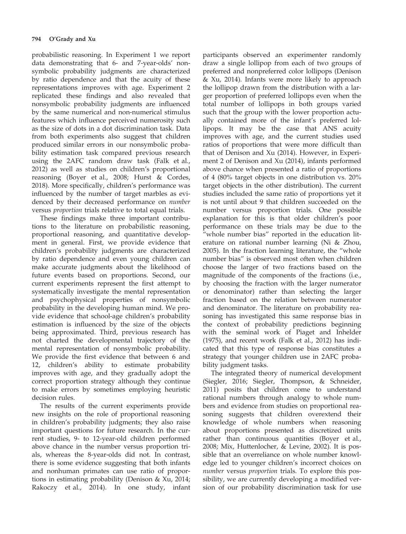probabilistic reasoning. In Experiment 1 we report data demonstrating that 6- and 7-year-olds' nonsymbolic probability judgments are characterized by ratio dependence and that the acuity of these representations improves with age. Experiment 2 replicated these findings and also revealed that nonsymbolic probability judgments are influenced by the same numerical and non-numerical stimulus features which influence perceived numerosity such as the size of dots in a dot discrimination task. Data from both experiments also suggest that children produced similar errors in our nonsymbolic probability estimation task compared previous research using the 2AFC random draw task (Falk et al., 2012) as well as studies on children's proportional reasoning (Boyer et al., 2008; Hurst & Cordes, 2018). More specifically, children's performance was influenced by the number of target marbles as evidenced by their decreased performance on number versus proportion trials relative to total equal trials.

These findings make three important contributions to the literature on probabilistic reasoning, proportional reasoning, and quantitative development in general. First, we provide evidence that children's probability judgments are characterized by ratio dependence and even young children can make accurate judgments about the likelihood of future events based on proportions. Second, our current experiments represent the first attempt to systematically investigate the mental representation and psychophysical properties of nonsymbolic probability in the developing human mind. We provide evidence that school-age children's probability estimation is influenced by the size of the objects being approximated. Third, previous research has not charted the developmental trajectory of the mental representation of nonsymbolic probability. We provide the first evidence that between 6 and 12, children's ability to estimate probability improves with age, and they gradually adopt the correct proportion strategy although they continue to make errors by sometimes employing heuristic decision rules.

The results of the current experiments provide new insights on the role of proportional reasoning in children's probability judgments; they also raise important questions for future research. In the current studies, 9- to 12-year-old children performed above chance in the number versus proportion trials, whereas the 8-year-olds did not. In contrast, there is some evidence suggesting that both infants and nonhuman primates can use ratio of proportions in estimating probability (Denison & Xu, 2014; Rakoczy et al., 2014). In one study, infant participants observed an experimenter randomly draw a single lollipop from each of two groups of preferred and nonpreferred color lollipops (Denison & Xu, 2014). Infants were more likely to approach the lollipop drawn from the distribution with a larger proportion of preferred lollipops even when the total number of lollipops in both groups varied such that the group with the lower proportion actually contained more of the infant's preferred lollipops. It may be the case that ANS acuity improves with age, and the current studies used ratios of proportions that were more difficult than that of Denison and Xu (2014). However, in Experiment 2 of Denison and Xu (2014), infants performed above chance when presented a ratio of proportions of 4 (80% target objects in one distribution vs. 20% target objects in the other distribution). The current studies included the same ratio of proportions yet it is not until about 9 that children succeeded on the number versus proportion trials. One possible explanation for this is that older children's poor performance on these trials may be due to the "whole number bias" reported in the education literature on rational number learning (Ni & Zhou, 2005). In the fraction learning literature, the "whole number bias" is observed most often when children choose the larger of two fractions based on the magnitude of the components of the fractions (i.e., by choosing the fraction with the larger numerator or denominator) rather than selecting the larger fraction based on the relation between numerator and denominator. The literature on probability reasoning has investigated this same response bias in the context of probability predictions beginning with the seminal work of Piaget and Inhelder (1975), and recent work (Falk et al., 2012) has indicated that this type of response bias constitutes a strategy that younger children use in 2AFC probability judgment tasks.

The integrated theory of numerical development (Siegler, 2016; Siegler, Thompson, & Schneider, 2011) posits that children come to understand rational numbers through analogy to whole numbers and evidence from studies on proportional reasoning suggests that children overextend their knowledge of whole numbers when reasoning about proportions presented as discretized units rather than continuous quantities (Boyer et al., 2008; Mix, Huttenlocher, & Levine, 2002). It is possible that an overreliance on whole number knowledge led to younger children's incorrect choices on number versus proportion trials. To explore this possibility, we are currently developing a modified version of our probability discrimination task for use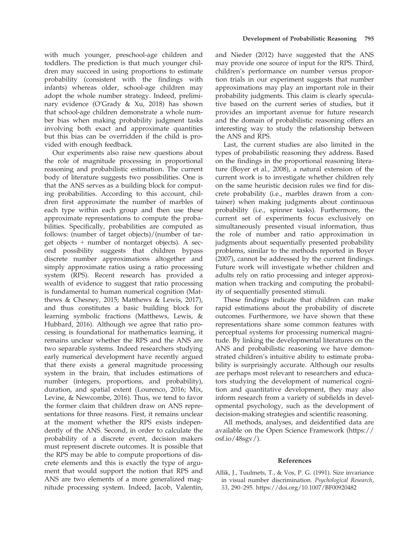with much younger, preschool-age children and toddlers. The prediction is that much younger children may succeed in using proportions to estimate probability (consistent with the findings with infants) whereas older, school-age children may adopt the whole number strategy. Indeed, preliminary evidence (O'Grady & Xu, 2018) has shown that school-age children demonstrate a whole number bias when making probability judgment tasks involving both exact and approximate quantities but this bias can be overridden if the child is provided with enough feedback.

Our experiments also raise new questions about the role of magnitude processing in proportional reasoning and probabilistic estimation. The current body of literature suggests two possibilities. One is that the ANS serves as a building block for computing probabilities. According to this account, children first approximate the number of marbles of each type within each group and then use these approximate representations to compute the probabilities. Specifically, probabilities are computed as follows: (number of target objects)/(number of target objects + number of nontarget objects). A second possibility suggests that children bypass discrete number approximations altogether and simply approximate ratios using a ratio processing system (RPS). Recent research has provided a wealth of evidence to suggest that ratio processing is fundamental to human numerical cognition (Matthews & Chesney, 2015; Matthews & Lewis, 2017), and thus constitutes a basic building block for learning symbolic fractions (Matthews, Lewis, & Hubbard, 2016). Although we agree that ratio processing is foundational for mathematics learning, it remains unclear whether the RPS and the ANS are two separable systems. Indeed researchers studying early numerical development have recently argued that there exists a general magnitude processing system in the brain, that includes estimations of number (integers, proportions, and probability), duration, and spatial extent (Lourenco, 2016; Mix, Levine, & Newcombe, 2016). Thus, we tend to favor the former claim that children draw on ANS representations for three reasons. First, it remains unclear at the moment whether the RPS exists independently of the ANS. Second, in order to calculate the probability of a discrete event, decision makers must represent discrete outcomes. It is possible that the RPS may be able to compute proportions of discrete elements and this is exactly the type of argument that would support the notion that RPS and ANS are two elements of a more generalized magnitude processing system. Indeed, Jacob, Valentin,

and Nieder (2012) have suggested that the ANS may provide one source of input for the RPS. Third, children's performance on number versus proportion trials in our experiment suggests that number approximations may play an important role in their probability judgments. This claim is clearly speculative based on the current series of studies, but it provides an important avenue for future research and the domain of probabilistic reasoning offers an interesting way to study the relationship between the ANS and RPS.

Last, the current studies are also limited in the types of probabilistic reasoning they address. Based on the findings in the proportional reasoning literature (Boyer et al., 2008), a natural extension of the current work is to investigate whether children rely on the same heuristic decision rules we find for discrete probability (i.e., marbles drawn from a container) when making judgments about continuous probability (i.e., spinner tasks). Furthermore, the current set of experiments focus exclusively on simultaneously presented visual information, thus the role of number and ratio approximation in judgments about sequentially presented probability problems, similar to the methods reported in Boyer (2007), cannot be addressed by the current findings. Future work will investigate whether children and adults rely on ratio processing and integer approximation when tracking and computing the probability of sequentially presented stimuli.

These findings indicate that children can make rapid estimations about the probability of discrete outcomes. Furthermore, we have shown that these representations share some common features with perceptual systems for processing numerical magnitude. By linking the developmental literatures on the ANS and probabilistic reasoning we have demonstrated children's intuitive ability to estimate probability is surprisingly accurate. Although our results are perhaps most relevant to researchers and educators studying the development of numerical cognition and quantitative development, they may also inform research from a variety of subfields in developmental psychology, such as the development of decision-making strategies and scientific reasoning.

All methods, analyses, and deidentified data are available on the Open Science Framework ([https://](https://osf.io/48sgv/) [osf.io/48sgv/\)](https://osf.io/48sgv/).

#### References

Allik, J., Tuulmets, T., & Vos, P. G. (1991). Size invariance in visual number discrimination. Psychological Research, 53, 290–295.<https://doi.org/10.1007/BF00920482>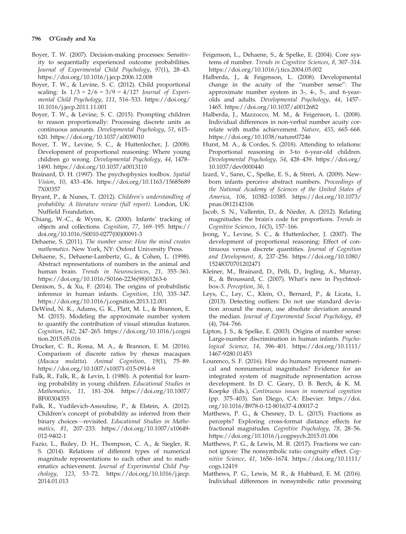# 796 O'Grady and Xu

- Boyer, T. W. (2007). Decision-making processes: Sensitivity to sequentially experienced outcome probabilities. Journal of Experimental Child Psychology, 97(1), 28–43. <https://doi.org/10.1016/j.jecp.2006.12.008>
- Boyer, T. W., & Levine, S. C. (2012). Child proportional scaling: Is  $1/3 = 2/6 = 3/9 = 4/12$ ? Journal of Experimental Child Psychology, 111, 516–533. [https://doi.org/](https://doi.org/10.1016/j.jecp.2011.11.001) [10.1016/j.jecp.2011.11.001](https://doi.org/10.1016/j.jecp.2011.11.001)
- Boyer, T. W., & Levine, S. C. (2015). Prompting children to reason proportionally: Processing discrete units as continuous amounts. Developmental Psychology, 51, 615– 620.<https://doi.org/10.1037/a0039010>
- Boyer, T. W., Levine, S. C., & Huttenlocher, J. (2008). Development of proportional reasoning: Where young children go wrong. Developmental Psychology, 44, 1478– 1490.<https://doi.org/10.1037/a0013110>
- Brainard, D. H. (1997). The psychophysics toolbox. Spatial Vision, 10, 433–436. [https://doi.org/10.1163/15685689](https://doi.org/10.1163/156856897X00357) [7X00357](https://doi.org/10.1163/156856897X00357)
- Bryant, P., & Nunes, T. (2012). Children's understandling of probability: A literature review (full report). London, UK: Nuffield Foundation.
- Chiang, W.-C., & Wynn, K. (2000). Infants' tracking of objects and collections. Cognition, 77, 169–195. [https://](https://doi.org/10.1016/S0010-0277(00)00091-3) [doi.org/10.1016/S0010-0277\(00\)00091-3](https://doi.org/10.1016/S0010-0277(00)00091-3)
- Dehaene, S. (2011). The number sense: How the mind creates mathematics. New York, NY: Oxford University Press.
- Dehaene, S., Dehaene-Lambertz, G., & Cohen, L. (1998). Abstract representations of numbers in the animal and human brain. Trends in Neurosciences, 21, 355–361. [https://doi.org/10.1016/S0166-2236\(98\)01263-6](https://doi.org/10.1016/S0166-2236(98)01263-6)
- Denison, S., & Xu, F. (2014). The origins of probabilistic inference in human infants. Cognition, 130, 335–347. <https://doi.org/10.1016/j.cognition.2013.12.001>
- DeWind, N. K., Adams, G. K., Platt, M. L., & Brannon, E. M. (2015). Modeling the approximate number system to quantify the contribution of visual stimulus features. Cognition, 142, 247–265. [https://doi.org/10.1016/j.cogni](https://doi.org/10.1016/j.cognition.2015.05.016) [tion.2015.05.016](https://doi.org/10.1016/j.cognition.2015.05.016)
- Drucker, C. B., Rossa, M. A., & Brannon, E. M. (2016). Comparison of discrete ratios by rhesus macaques (Macaca mulatta). Animal Cognition, 19(1), 75–89. <https://doi.org/10.1007/s10071-015-0914-9>
- Falk, R., Falk, R., & Levin, I. (1980). A potential for learning probability in young children. Educational Studies in Mathematics, 11, 181–204. [https://doi.org/10.1007/](https://doi.org/10.1007/BF00304355) [BF00304355](https://doi.org/10.1007/BF00304355)
- Falk, R., Yudilevich-Assouline, P., & Elstein, A. (2012). Children's concept of probability as inferred from their binary choices—revisited. Educational Studies in Mathematics, 81, 207–233. [https://doi.org/10.1007/s10649-](https://doi.org/10.1007/s10649-012-9402-1) [012-9402-1](https://doi.org/10.1007/s10649-012-9402-1)
- Fazio, L., Bailey, D. H., Thompson, C. A., & Siegler, R. S. (2014). Relations of different types of numerical magnitude representations to each other and to mathematics achievement. Journal of Experimental Child Psychology, 123, 53–72. [https://doi.org/10.1016/j.jecp.](https://doi.org/10.1016/j.jecp.2014.01.013) [2014.01.013](https://doi.org/10.1016/j.jecp.2014.01.013)
- Feigenson, L., Dehaene, S., & Spelke, E. (2004). Core systems of number. Trends in Cognitive Sciences, 8, 307–314. <https://doi.org/10.1016/j.tics.2004.05.002>
- Halberda, J., & Feigenson, L. (2008). Developmental change in the acuity of the "number sense": The approximate number system in 3-, 4-, 5-, and 6-yearolds and adults. Developmental Psychology, 44, 1457– 1465.<https://doi.org/10.1037/a0012682>
- Halberda, J., Mazzocco, M. M., & Feigenson, L. (2008). Individual differences in non-verbal number acuity correlate with maths achievement. Nature, 455, 665–668. <https://doi.org/10.1038/nature07246>
- Hurst, M. A., & Cordes, S. (2018). Attending to relations: Proportional reasoning in 3-to 6-year-old children. Developmental Psychology, 54, 428–439. [https://doi.org/](https://doi.org/10.1037/dev0000440) [10.1037/dev0000440](https://doi.org/10.1037/dev0000440)
- Izard, V., Sann, C., Spelke, E. S., & Streri, A. (2009). Newborn infants perceive abstract numbers. Proceedings of the National Academy of Sciences of the United States of America, 106, 10382–10385. [https://doi.org/10.1073/](https://doi.org/10.1073/pnas.0812142106) [pnas.0812142106](https://doi.org/10.1073/pnas.0812142106)
- Jacob, S. N., Vallentin, D., & Nieder, A. (2012). Relating magnitudes: the brain's code for proportions. Trends in Cognitive Sciences, 16(3), 157–166.
- Jeong, Y., Levine, S. C., & Huttenlocher, J. (2007). The development of proportional reasoning: Effect of continuous versus discrete quantities. Journal of Cognition and Development, 8, 237–256. [https://doi.org/10.1080/](https://doi.org/10.1080/15248370701202471) [15248370701202471](https://doi.org/10.1080/15248370701202471)
- Kleiner, M., Brainard, D., Pelli, D., Ingling, A., Murray, R., & Broussard, C. (2007). What's new in Psychtoolbox-3. Perception, 36, 1.
- Leys, C., Ley, C., Klein, O., Bernard, P., & Licata, L. (2013). Detecting outliers: Do not use standard deviation around the mean, use absolute deviation around the median. Journal of Experimental Social Psychology, 49 (4), 764–766.
- Lipton, J. S., & Spelke, E. (2003). Origins of number sense: Large-number discrimination in human infants. Psychological Science, 14, 396–401. [https://doi.org/10.1111/](https://doi.org/10.1111/1467-9280.01453) [1467-9280.01453](https://doi.org/10.1111/1467-9280.01453)
- Lourenco, S. F. (2016). How do humans represent numerical and nonnumerical magnitudes? Evidence for an integrated system of magnitude representation across development. In D. C. Geary, D. B. Berch, & K. M. Koepke (Eds.), Continuous issues in numerical cognition (pp. 375–403). San Diego, CA: Elsevier. [https://doi.](https://doi.org/10.1016/B978-0-12-801637-4.00017-2) [org/10.1016/B978-0-12-801637-4.00017-2](https://doi.org/10.1016/B978-0-12-801637-4.00017-2)
- Matthews, P. G., & Chesney, D. L. (2015). Fractions as percepts? Exploring cross-format distance effects for fractional magnitudes. Cognitive Psychology, 78, 28–56. <https://doi.org/10.1016/j.cogpsych.2015.01.006>
- Matthews, P. G., & Lewis, M. R. (2017). Fractions we cannot ignore: The nonsymbolic ratio congruity effect. Cognitive Science, 41, 1656–1674. [https://doi.org/10.1111/](https://doi.org/10.1111/cogs.12419) [cogs.12419](https://doi.org/10.1111/cogs.12419)
- Matthews, P. G., Lewis, M. R., & Hubbard, E. M. (2016). Individual differences in nonsymbolic ratio processing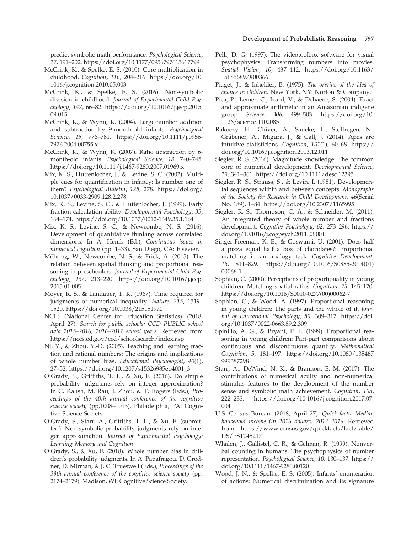predict symbolic math performance. Psychological Science, 27, 191–202.<https://doi.org/10.1177/0956797615617799>

- McCrink, K., & Spelke, E. S. (2010). Core multiplication in childhood. Cognition, 116, 204–216. [https://doi.org/10.](https://doi.org/10.1016/j.cognition.2010.05.003) [1016/j.cognition.2010.05.003](https://doi.org/10.1016/j.cognition.2010.05.003)
- McCrink, K., & Spelke, E. S. (2016). Non-symbolic division in childhood. Journal of Experimental Child Psychology, 142, 66–82. [https://doi.org/10.1016/j.jecp.2015.](https://doi.org/10.1016/j.jecp.2015.09.015) [09.015](https://doi.org/10.1016/j.jecp.2015.09.015)
- McCrink, K., & Wynn, K. (2004). Large-number addition and subtraction by 9-month-old infants. Psychological Science, 15, 776–781. [https://doi.org/10.1111/j.0956-](https://doi.org/10.1111/j.0956-7976.2004.00755.x) [7976.2004.00755.x](https://doi.org/10.1111/j.0956-7976.2004.00755.x)
- McCrink, K., & Wynn, K. (2007). Ratio abstraction by 6 month-old infants. Psychological Science, 18, 740–745. <https://doi.org/10.1111/j.1467-9280.2007.01969.x>
- Mix, K. S., Huttenlocher, J., & Levine, S. C. (2002). Multiple cues for quantification in infancy: Is number one of them? Psychological Bulletin, 128, 278. [https://doi.org/](https://doi.org/10.1037/0033-2909.128.2.278) [10.1037/0033-2909.128.2.278](https://doi.org/10.1037/0033-2909.128.2.278)
- Mix, K. S., Levine, S. C., & Huttenlocher, J. (1999). Early fraction calculation ability. Developmental Psychology, 35, 164–174.<https://doi.org/10.1037/0012-1649.35.1.164>
- Mix, K. S., Levine, S. C., & Newcombe, N. S. (2016). Development of quantitative thinking across correlated dimensions. In A. Henik (Ed.), Continuous issues in numerical cognition (pp. 1–33). San Diego, CA: Elsevier.
- Möhring, W., Newcombe, N. S., & Frick, A. (2015). The relation between spatial thinking and proportional reasoning in preschoolers. Journal of Experimental Child Psychology, 132, 213–220. [https://doi.org/10.1016/j.jecp.](https://doi.org/10.1016/j.jecp.2015.01.005) [2015.01.005](https://doi.org/10.1016/j.jecp.2015.01.005)
- Moyer, R. S., & Landauer, T. K. (1967). Time required for judgments of numerical inequality. Nature, 215, 1519– 1520.<https://doi.org/10.1038/2151519a0>
- NCES (National Center for Education Statistics). (2018, April 27). Search for public schools: CCD PUBLIC school data 2015–2016, 2016–2017 school years. Retrieved from <https://nces.ed.gov/ccd/schoolsearch/index.asp>
- Ni, Y., & Zhou, Y.-D. (2005). Teaching and learning fraction and rational numbers: The origins and implications of whole number bias. Educational Psychologist, 40(1), 27–52. [https://doi.org/10.1207/s15326985ep4001\\_3](https://doi.org/10.1207/s15326985ep4001_3)
- O'Grady, S., Griffiths, T. L., & Xu, F. (2016). Do simple probability judgments rely on integer approximation? In C. Kalish, M. Rau, J. Zhou, & T. Rogers (Eds.), Proceedings of the 40th annual conference of the cognitive science society (pp.1008–1013). Philadelphia, PA: Cognitive Science Society.
- O'Grady, S., Starr, A., Griffiths, T. L., & Xu, F. (submitted). Non-symbolic probability judgments rely on integer approximation. Journal of Experimental Psychology: Learning Memory and Cognition.
- O'Grady, S., & Xu, F. (2018). Whole number bias in children's probability judgments. In A. Papafragou, D. Grodner, D. Mirman, & J. C. Trueswell (Eds.), Proceedings of the 38th annual conference of the cognitive science society (pp. 2174–2179). Madison, WI: Cognitive Science Society.
- Pelli, D. G. (1997). The videotoolbox software for visual psychophysics: Transforming numbers into movies. Spatial Vision, 10, 437–442. [https://doi.org/10.1163/](https://doi.org/10.1163/156856897X00366) [156856897X00366](https://doi.org/10.1163/156856897X00366)
- Piaget, J., & Inhelder, B. (1975). The origins of the idea of chance in children. New York, NY: Norton & Company.
- Pica, P., Lemer, C., Izard, V., & Dehaene, S. (2004). Exact and approximate arithmetic in an Amazonian indigene group. Science, 306, 499–503. [https://doi.org/10.](https://doi.org/10.1126/science.1102085) [1126/science.1102085](https://doi.org/10.1126/science.1102085)
- Rakoczy, H., Clüver, A., Saucke, L., Stoffregen, N., Gräbener, A., Migura, J., & Call, J. (2014). Apes are intuitive statisticians. Cognition, 131(1), 60–68. [https://](https://doi.org/10.1016/j.cognition.2013.12.011) [doi.org/10.1016/j.cognition.2013.12.011](https://doi.org/10.1016/j.cognition.2013.12.011)
- Siegler, R. S. (2016). Magnitude knowledge: The common core of numerical development. Developmental Science, 19, 341–361.<https://doi.org/10.1111/desc.12395>
- Siegler, R. S., Strauss, S., & Levin, I. (1981). Developmental sequences within and between concepts. Monographs of the Society for Research in Child Development, 46(Serial No. 189), 1–84.<https://doi.org/10.2307/1165995>
- Siegler, R. S., Thompson, C. A., & Schneider, M. (2011). An integrated theory of whole number and fractions development. Cognitive Psychology, 62, 273–296. [https://](https://doi.org/10.1016/j.cogpsych.2011.03.001) [doi.org/10.1016/j.cogpsych.2011.03.001](https://doi.org/10.1016/j.cogpsych.2011.03.001)
- Singer-Freeman, K. E., & Goswami, U. (2001). Does half a pizza equal half a box of chocolates?: Proportional matching in an analogy task. Cognitive Development, 16, 811–829. [https://doi.org/10.1016/S0885-2014\(01\)](https://doi.org/10.1016/S0885-2014(01)00066-1) [00066-1](https://doi.org/10.1016/S0885-2014(01)00066-1)
- Sophian, C. (2000). Perceptions of proportionality in young children: Matching spatial ratios. Cognition, 75, 145–170. [https://doi.org/10.1016/S0010-0277\(00\)00062-7](https://doi.org/10.1016/S0010-0277(00)00062-7)
- Sophian, C., & Wood, A. (1997). Proportional reasoning in young children: The parts and the whole of it. Journal of Educational Psychology, 89, 309–317. [https://doi.](https://doi.org/10.1037/0022-0663.89.2.309) [org/10.1037/0022-0663.89.2.309](https://doi.org/10.1037/0022-0663.89.2.309)
- Spinillo, A. G., & Bryant, P. E. (1999). Proportional reasoning in young children: Part-part comparisons about continuous and discontinuous quantity. Mathematical Cognition, 5, 181–197. [https://doi.org/10.1080/135467](https://doi.org/10.1080/135467999387298) [999387298](https://doi.org/10.1080/135467999387298)
- Starr, A., DeWind, N. K., & Brannon, E. M. (2017). The contributions of numerical acuity and non-numerical stimulus features to the development of the number sense and symbolic math achievement. Cognition, 168, 222–233. [https://doi.org/10.1016/j.cognition.2017.07.](https://doi.org/10.1016/j.cognition.2017.07.004)  $004$
- U.S. Census Bureau. (2018, April 27). Quick facts: Median household income (in 2016 dollars) 2012–2016. Retrieved from [https://www.census.gov/quickfacts/fact/table/](https://www.census.gov/quickfacts/fact/table/US/PST045217) [US/PST045217](https://www.census.gov/quickfacts/fact/table/US/PST045217)
- Whalen, J., Gallistel, C. R., & Gelman, R. (1999). Nonverbal counting in humans: The psychophysics of number representation. Psychological Science, 10, 130–137. [https://](https://doi.org/10.1111/1467-9280.00120) [doi.org/10.1111/1467-9280.00120](https://doi.org/10.1111/1467-9280.00120)
- Wood, J. N., & Spelke, E. S. (2005). Infants' enumeration of actions: Numerical discrimination and its signature